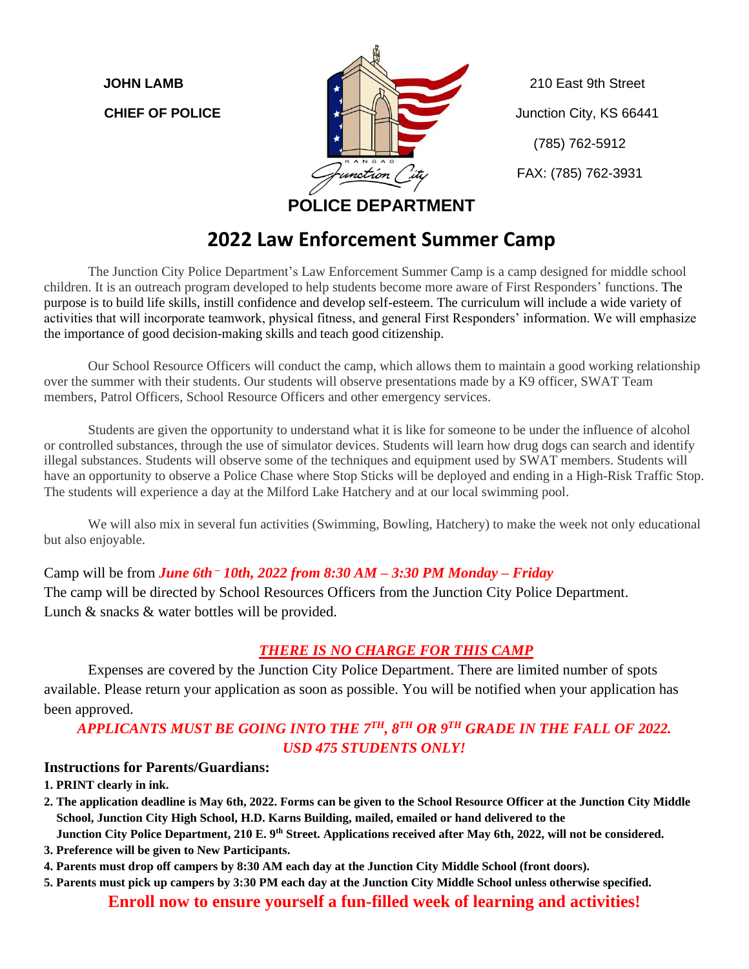

(785) 762-5912 FAX: (785) 762-3931

**POLICE DEPARTMENT**

### **2022 Law Enforcement Summer Camp**

The Junction City Police Department's Law Enforcement Summer Camp is a camp designed for middle school children. It is an outreach program developed to help students become more aware of First Responders' functions. The purpose is to build life skills, instill confidence and develop self-esteem. The curriculum will include a wide variety of activities that will incorporate teamwork, physical fitness, and general First Responders' information. We will emphasize the importance of good decision-making skills and teach good citizenship.

Our School Resource Officers will conduct the camp, which allows them to maintain a good working relationship over the summer with their students. Our students will observe presentations made by a K9 officer, SWAT Team members, Patrol Officers, School Resource Officers and other emergency services.

Students are given the opportunity to understand what it is like for someone to be under the influence of alcohol or controlled substances, through the use of simulator devices. Students will learn how drug dogs can search and identify illegal substances. Students will observe some of the techniques and equipment used by SWAT members. Students will have an opportunity to observe a Police Chase where Stop Sticks will be deployed and ending in a High-Risk Traffic Stop. The students will experience a day at the Milford Lake Hatchery and at our local swimming pool.

We will also mix in several fun activities (Swimming, Bowling, Hatchery) to make the week not only educational but also enjoyable.

Camp will be from *June 6th – 10th, 2022 from 8:30 AM – 3:30 PM Monday – Friday*

The camp will be directed by School Resources Officers from the Junction City Police Department. Lunch & snacks & water bottles will be provided.

#### *THERE IS NO CHARGE FOR THIS CAMP*

Expenses are covered by the Junction City Police Department. There are limited number of spots available. Please return your application as soon as possible. You will be notified when your application has been approved.

#### *APPLICANTS MUST BE GOING INTO THE 7 TH, 8 TH OR 9TH GRADE IN THE FALL OF 2022. USD 475 STUDENTS ONLY!*

#### **Instructions for Parents/Guardians:**

**1. PRINT clearly in ink.**

**2. The application deadline is May 6th, 2022. Forms can be given to the School Resource Officer at the Junction City Middle School, Junction City High School, H.D. Karns Building, mailed, emailed or hand delivered to the**

 **Junction City Police Department, 210 E. 9th Street. Applications received after May 6th, 2022, will not be considered.**

**3. Preference will be given to New Participants.**

**4. Parents must drop off campers by 8:30 AM each day at the Junction City Middle School (front doors).**

**5. Parents must pick up campers by 3:30 PM each day at the Junction City Middle School unless otherwise specified.**

#### **Enroll now to ensure yourself a fun-filled week of learning and activities!**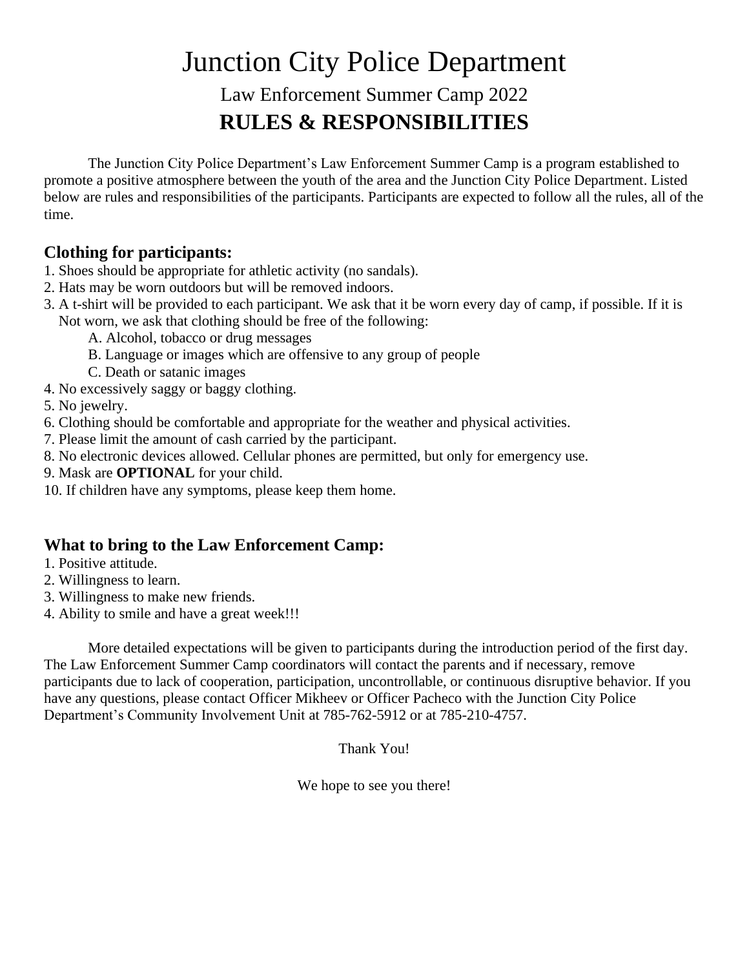# Junction City Police Department

## Law Enforcement Summer Camp 2022 **RULES & RESPONSIBILITIES**

The Junction City Police Department's Law Enforcement Summer Camp is a program established to promote a positive atmosphere between the youth of the area and the Junction City Police Department. Listed below are rules and responsibilities of the participants. Participants are expected to follow all the rules, all of the time.

#### **Clothing for participants:**

- 1. Shoes should be appropriate for athletic activity (no sandals).
- 2. Hats may be worn outdoors but will be removed indoors.
- 3. A t-shirt will be provided to each participant. We ask that it be worn every day of camp, if possible. If it is Not worn, we ask that clothing should be free of the following:
	- A. Alcohol, tobacco or drug messages
	- B. Language or images which are offensive to any group of people
	- C. Death or satanic images
- 4. No excessively saggy or baggy clothing.
- 5. No jewelry.
- 6. Clothing should be comfortable and appropriate for the weather and physical activities.
- 7. Please limit the amount of cash carried by the participant.
- 8. No electronic devices allowed. Cellular phones are permitted, but only for emergency use.
- 9. Mask are **OPTIONAL** for your child.
- 10. If children have any symptoms, please keep them home.

#### **What to bring to the Law Enforcement Camp:**

- 1. Positive attitude.
- 2. Willingness to learn.
- 3. Willingness to make new friends.
- 4. Ability to smile and have a great week!!!

More detailed expectations will be given to participants during the introduction period of the first day. The Law Enforcement Summer Camp coordinators will contact the parents and if necessary, remove participants due to lack of cooperation, participation, uncontrollable, or continuous disruptive behavior. If you have any questions, please contact Officer Mikheev or Officer Pacheco with the Junction City Police Department's Community Involvement Unit at 785-762-5912 or at 785-210-4757.

Thank You!

We hope to see you there!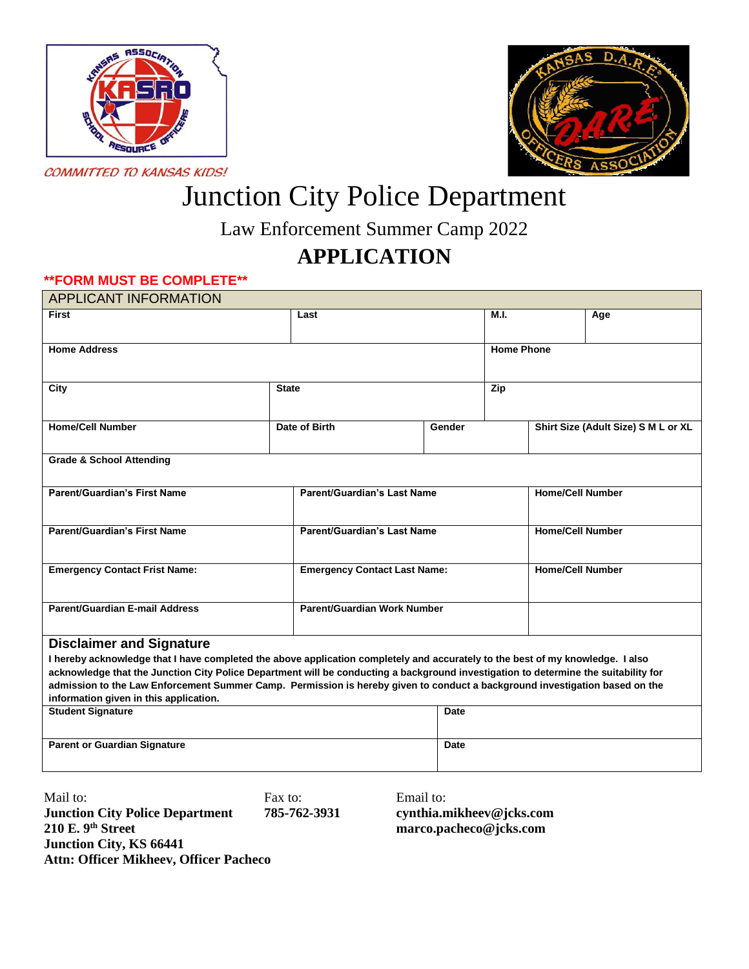



# Junction City Police Department

Law Enforcement Summer Camp 2022

# **APPLICATION**

#### **\*\*FORM MUST BE COMPLETE\*\***

| <b>APPLICANT INFORMATION</b>                                                                                                                                          |              |                                     |           |                         |                         |                                     |
|-----------------------------------------------------------------------------------------------------------------------------------------------------------------------|--------------|-------------------------------------|-----------|-------------------------|-------------------------|-------------------------------------|
| <b>First</b>                                                                                                                                                          |              | Last                                |           | M.I.                    |                         | Age                                 |
|                                                                                                                                                                       |              |                                     |           |                         |                         |                                     |
| <b>Home Address</b>                                                                                                                                                   |              |                                     |           | <b>Home Phone</b>       |                         |                                     |
|                                                                                                                                                                       |              |                                     |           |                         |                         |                                     |
| City                                                                                                                                                                  | <b>State</b> |                                     |           | Zip                     |                         |                                     |
| <b>Home/Cell Number</b>                                                                                                                                               |              | Date of Birth                       | Gender    |                         |                         | Shirt Size (Adult Size) S M L or XL |
|                                                                                                                                                                       |              |                                     |           |                         |                         |                                     |
| <b>Grade &amp; School Attending</b>                                                                                                                                   |              |                                     |           |                         |                         |                                     |
| <b>Parent/Guardian's First Name</b><br><b>Parent/Guardian's Last Name</b>                                                                                             |              |                                     |           | <b>Home/Cell Number</b> |                         |                                     |
|                                                                                                                                                                       |              |                                     |           |                         |                         |                                     |
| <b>Parent/Guardian's First Name</b>                                                                                                                                   |              | <b>Parent/Guardian's Last Name</b>  |           |                         | <b>Home/Cell Number</b> |                                     |
|                                                                                                                                                                       |              |                                     |           |                         |                         |                                     |
| <b>Emergency Contact Frist Name:</b>                                                                                                                                  |              | <b>Emergency Contact Last Name:</b> |           |                         | <b>Home/Cell Number</b> |                                     |
|                                                                                                                                                                       |              |                                     |           |                         |                         |                                     |
| <b>Parent/Guardian E-mail Address</b>                                                                                                                                 |              | Parent/Guardian Work Number         |           |                         |                         |                                     |
| <b>Disclaimer and Signature</b>                                                                                                                                       |              |                                     |           |                         |                         |                                     |
| I hereby acknowledge that I have completed the above application completely and accurately to the best of my knowledge. I also                                        |              |                                     |           |                         |                         |                                     |
| acknowledge that the Junction City Police Department will be conducting a background investigation to determine the suitability for                                   |              |                                     |           |                         |                         |                                     |
| admission to the Law Enforcement Summer Camp. Permission is hereby given to conduct a background investigation based on the<br>information given in this application. |              |                                     |           |                         |                         |                                     |
| <b>Student Signature</b>                                                                                                                                              |              |                                     | Date      |                         |                         |                                     |
|                                                                                                                                                                       |              |                                     |           |                         |                         |                                     |
| <b>Parent or Guardian Signature</b>                                                                                                                                   |              |                                     | Date      |                         |                         |                                     |
|                                                                                                                                                                       |              |                                     |           |                         |                         |                                     |
| Mail to:                                                                                                                                                              | Fax to:      |                                     | Email to: |                         |                         |                                     |

**Junction City Police Department 785-762-3931 cynthia.mikheev@jcks.com 210 E. 9 Junction City, KS 66441 Attn: Officer Mikheev, Officer Pacheco**

**th Street marco.pacheco@jcks.com**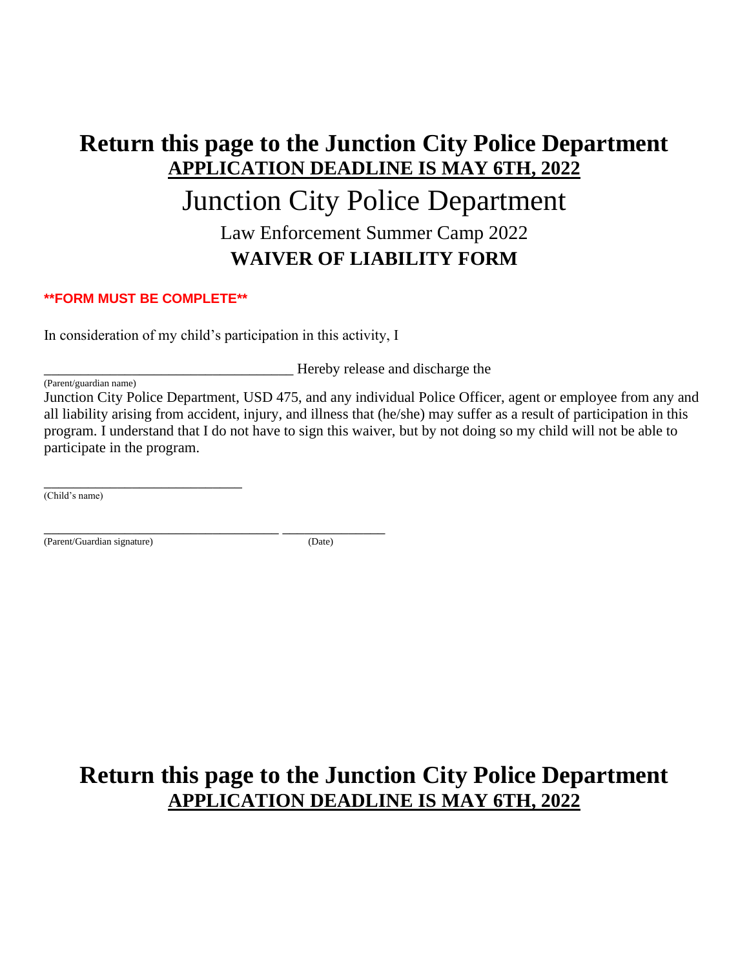# **Return this page to the Junction City Police Department APPLICATION DEADLINE IS MAY 6TH, 2022** Junction City Police Department Law Enforcement Summer Camp 2022 **WAIVER OF LIABILITY FORM**

#### **\*\*FORM MUST BE COMPLETE\*\***

In consideration of my child's participation in this activity, I

\_\_\_\_\_\_\_\_\_\_\_\_\_\_\_\_\_\_\_\_\_\_\_\_\_\_\_\_\_\_\_\_\_\_ Hereby release and discharge the

(Parent/guardian name) Junction City Police Department, USD 475, and any individual Police Officer, agent or employee from any and all liability arising from accident, injury, and illness that (he/she) may suffer as a result of participation in this program. I understand that I do not have to sign this waiver, but by not doing so my child will not be able to participate in the program.

\_\_\_\_\_\_\_\_\_\_\_\_\_\_\_\_\_\_\_\_\_\_\_\_\_\_\_ (Child's name)

(Parent/Guardian signature) (Date)

\_\_\_\_\_\_\_\_\_\_\_\_\_\_\_\_\_\_\_\_\_\_\_\_\_\_\_\_\_\_\_\_ \_\_\_\_\_\_\_\_\_\_\_\_\_\_

### **Return this page to the Junction City Police Department APPLICATION DEADLINE IS MAY 6TH, 2022**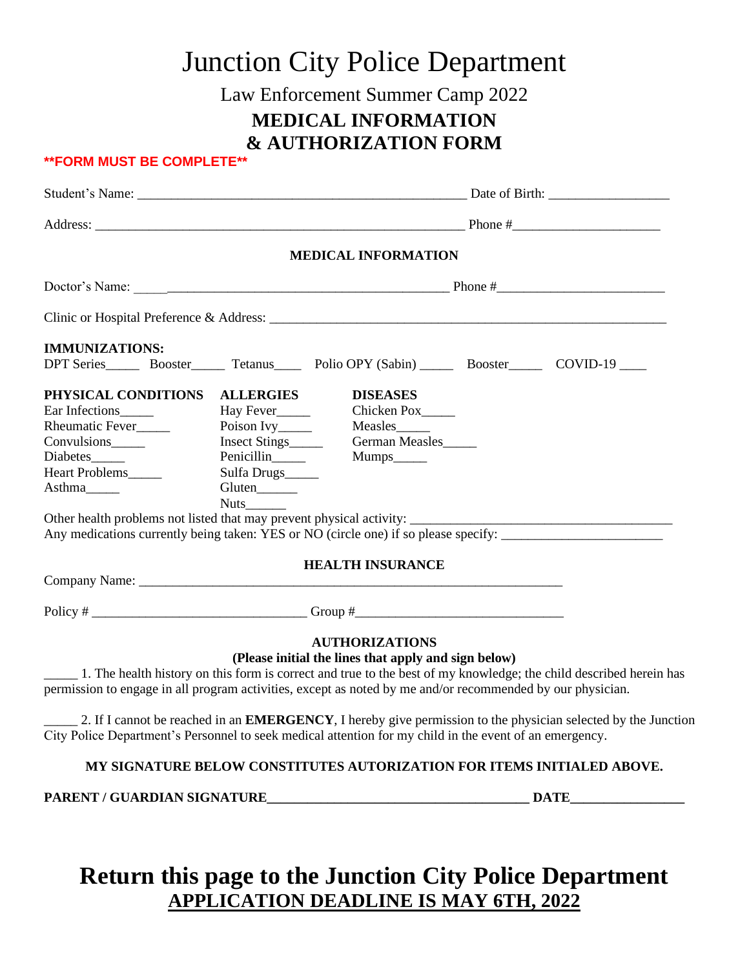|                                                                                                                         |                            | <b>Junction City Police Department</b>                           |                                                                                                                    |
|-------------------------------------------------------------------------------------------------------------------------|----------------------------|------------------------------------------------------------------|--------------------------------------------------------------------------------------------------------------------|
|                                                                                                                         |                            | Law Enforcement Summer Camp 2022                                 |                                                                                                                    |
|                                                                                                                         |                            | <b>MEDICAL INFORMATION</b>                                       |                                                                                                                    |
|                                                                                                                         |                            | <b>&amp; AUTHORIZATION FORM</b>                                  |                                                                                                                    |
| <b>**FORM MUST BE COMPLETE**</b>                                                                                        |                            |                                                                  |                                                                                                                    |
|                                                                                                                         |                            |                                                                  |                                                                                                                    |
|                                                                                                                         |                            |                                                                  |                                                                                                                    |
|                                                                                                                         |                            | <b>MEDICAL INFORMATION</b>                                       |                                                                                                                    |
|                                                                                                                         |                            |                                                                  |                                                                                                                    |
|                                                                                                                         |                            |                                                                  |                                                                                                                    |
| <b>IMMUNIZATIONS:</b>                                                                                                   |                            |                                                                  |                                                                                                                    |
| DPT Series__________ Booster__________ Tetanus_________ Polio OPY (Sabin) ____________ Booster__________ COVID-19 _____ |                            |                                                                  |                                                                                                                    |
| PHYSICAL CONDITIONS ALLERGIES                                                                                           |                            | <b>DISEASES</b>                                                  |                                                                                                                    |
|                                                                                                                         |                            |                                                                  |                                                                                                                    |
| Rheumatic Fever                                                                                                         |                            |                                                                  |                                                                                                                    |
| Convulsions_______                                                                                                      |                            | Insect Stings<br>German Measles                                  |                                                                                                                    |
|                                                                                                                         | Penicillin_____            | Mumps______                                                      |                                                                                                                    |
| Heart Problems                                                                                                          | Sulfa Drugs_____           |                                                                  |                                                                                                                    |
|                                                                                                                         |                            |                                                                  |                                                                                                                    |
|                                                                                                                         | $Nuts$ <sub>________</sub> |                                                                  |                                                                                                                    |
|                                                                                                                         |                            |                                                                  |                                                                                                                    |
| Any medications currently being taken: YES or NO (circle one) if so please specify: __________________________          |                            |                                                                  |                                                                                                                    |
|                                                                                                                         |                            | <b>HEALTH INSURANCE</b>                                          |                                                                                                                    |
|                                                                                                                         |                            |                                                                  |                                                                                                                    |
|                                                                                                                         |                            |                                                                  |                                                                                                                    |
|                                                                                                                         |                            | <b>AUTHORIZATIONS</b>                                            |                                                                                                                    |
|                                                                                                                         |                            | (Please initial the lines that apply and sign below)             |                                                                                                                    |
| permission to engage in all program activities, except as noted by me and/or recommended by our physician.              |                            |                                                                  | 1. The health history on this form is correct and true to the best of my knowledge; the child described herein has |
|                                                                                                                         |                            |                                                                  | 2. If I cannot be reached in an EMERGENCY, I hereby give permission to the physician selected by the Junction      |
| City Police Department's Personnel to seek medical attention for my child in the event of an emergency.                 |                            |                                                                  |                                                                                                                    |
|                                                                                                                         |                            | WIDE BELOW CONGERED A UROBIA A WOMEN DOB ERING BURLLI ED. A BOVE |                                                                                                                    |

#### **MY SIGNATURE BELOW CONSTITUTES AUTORIZATION FOR ITEMS INITIALED ABOVE.**

**PARENT / GUARDIAN SIGNATURE\_\_\_\_\_\_\_\_\_\_\_\_\_\_\_\_\_\_\_\_\_\_\_\_\_\_\_\_\_\_\_\_\_\_\_\_\_\_\_ DATE\_\_\_\_\_\_\_\_\_\_\_\_\_\_\_\_\_**

# **Return this page to the Junction City Police Department APPLICATION DEADLINE IS MAY 6TH, 2022**